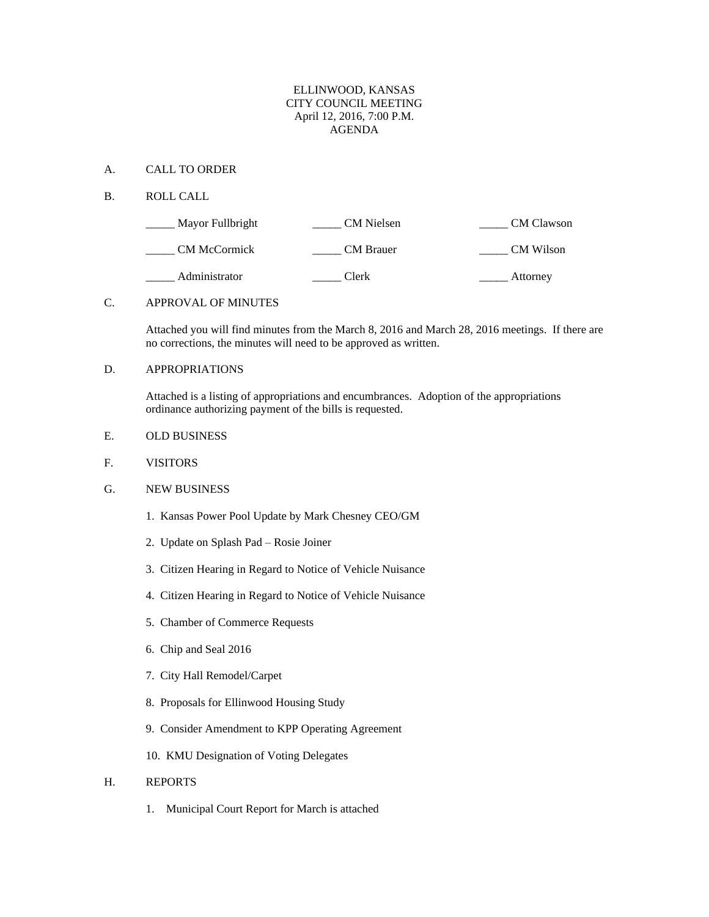### ELLINWOOD, KANSAS CITY COUNCIL MEETING April 12, 2016, 7:00 P.M. AGENDA

#### A. CALL TO ORDER

B. ROLL CALL

| Mayor Fullbright    | CM Nielsen       | <b>CM</b> Clawson |
|---------------------|------------------|-------------------|
| <b>CM McCormick</b> | <b>CM</b> Brauer | CM Wilson         |
| Administrator       | Clerk            | Attorney          |

## C. APPROVAL OF MINUTES

Attached you will find minutes from the March 8, 2016 and March 28, 2016 meetings. If there are no corrections, the minutes will need to be approved as written.

# D. APPROPRIATIONS

Attached is a listing of appropriations and encumbrances. Adoption of the appropriations ordinance authorizing payment of the bills is requested.

- E. OLD BUSINESS
- F. VISITORS
- G. NEW BUSINESS
	- 1. Kansas Power Pool Update by Mark Chesney CEO/GM
	- 2. Update on Splash Pad Rosie Joiner
	- 3. Citizen Hearing in Regard to Notice of Vehicle Nuisance
	- 4. Citizen Hearing in Regard to Notice of Vehicle Nuisance
	- 5. Chamber of Commerce Requests
	- 6. Chip and Seal 2016
	- 7. City Hall Remodel/Carpet
	- 8. Proposals for Ellinwood Housing Study
	- 9. Consider Amendment to KPP Operating Agreement
	- 10. KMU Designation of Voting Delegates

#### H. REPORTS

1. Municipal Court Report for March is attached